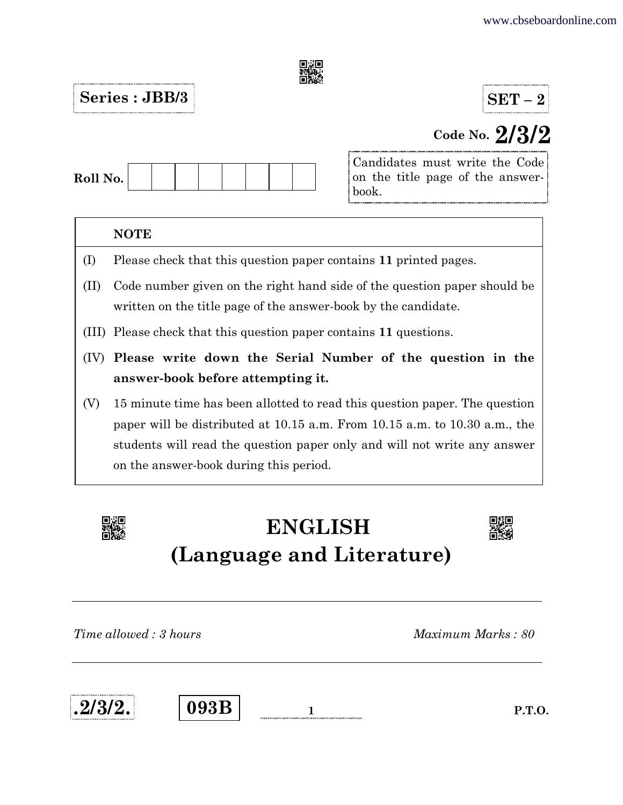

## $Series : JBB/3$   $SET-2$

# Code No. 2/3/2

| Roll No. |  |  |  |  |  |
|----------|--|--|--|--|--|
|          |  |  |  |  |  |

Candidates must write the Code on the title page of the answerbook.

### **NOTE**

- (I) Please check that this question paper contains 11 printed pages.
- (II) Code number given on the right hand side of the question paper should be written on the title page of the answer-book by the candidate.
- (III) Please check that this question paper contains 11 questions.
- (IV) Please write down the Serial Number of the question in the answer-book before attempting it.
- (V) 15 minute time has been allotted to read this question paper. The question paper will be distributed at 10.15 a.m. From 10.15 a.m. to 10.30 a.m., the students will read the question paper only and will not write any answer on the answer-book during this period.



# ENGLISH (Language and Literature)



Time allowed : 3 hours and the set of the Maximum Marks : 80



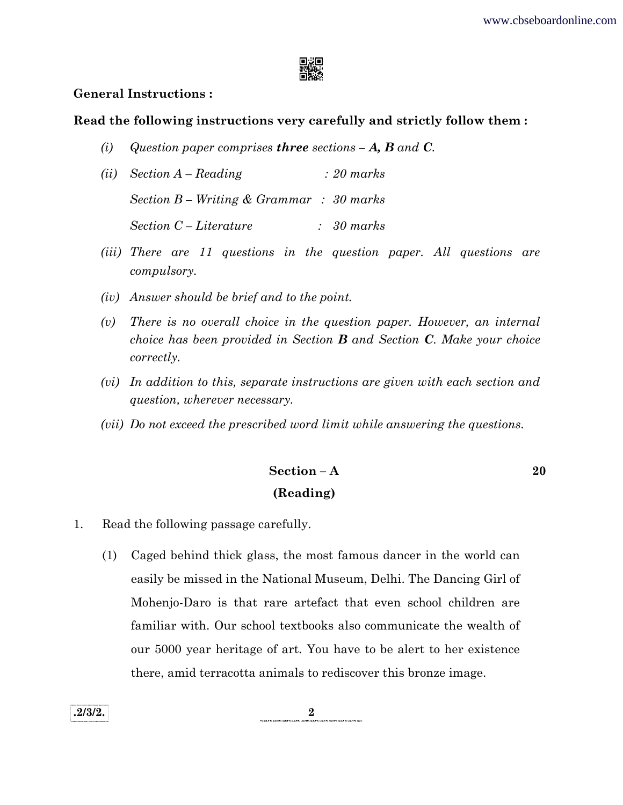

#### General Instructions :

#### Read the following instructions very carefully and strictly follow them :

- (i) Question paper comprises three sections  $-A$ , **B** and **C**.
- (ii) Section A Reading : 20 marks Section B – Writing & Grammar : 30 marks Section C – Literature : 30 marks
- (iii) There are 11 questions in the question paper. All questions are compulsory.
- (iv) Answer should be brief and to the point.
- (v) There is no overall choice in the question paper. However, an internal choice has been provided in Section  $\bf{B}$  and Section  $\bf{C}$ . Make your choice correctly.
- (vi) In addition to this, separate instructions are given with each section and question, wherever necessary.
- (vii) Do not exceed the prescribed word limit while answering the questions.

### Section – A  $20$ (Reading)

1. Read the following passage carefully.

 (1) Caged behind thick glass, the most famous dancer in the world can easily be missed in the National Museum, Delhi. The Dancing Girl of Mohenjo-Daro is that rare artefact that even school children are familiar with. Our school textbooks also communicate the wealth of our 5000 year heritage of art. You have to be alert to her existence there, amid terracotta animals to rediscover this bronze image.

.  $2/3/2$ .  $2$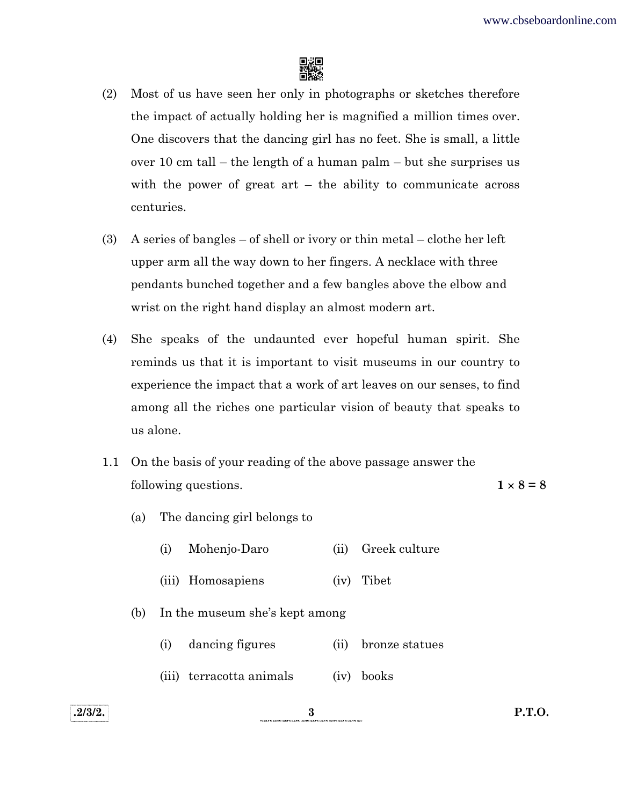

- (2) Most of us have seen her only in photographs or sketches therefore the impact of actually holding her is magnified a million times over. One discovers that the dancing girl has no feet. She is small, a little over 10 cm tall – the length of a human palm – but she surprises us with the power of great  $art - the ability to communicate across$ centuries.
- (3) A series of bangles of shell or ivory or thin metal clothe her left upper arm all the way down to her fingers. A necklace with three pendants bunched together and a few bangles above the elbow and wrist on the right hand display an almost modern art.
- (4) She speaks of the undaunted ever hopeful human spirit. She reminds us that it is important to visit museums in our country to experience the impact that a work of art leaves on our senses, to find among all the riches one particular vision of beauty that speaks to us alone.
- 1.1 On the basis of your reading of the above passage answer the following questions.  $1 \times 8 = 8$

- (a) The dancing girl belongs to
	- (i) Mohenjo-Daro (ii) Greek culture
	- (iii) Homosapiens (iv) Tibet
- (b) In the museum she's kept among
	- (i) dancing figures (ii) bronze statues
	- (iii) terracotta animals (iv) books

.2/3/2. P.T.O.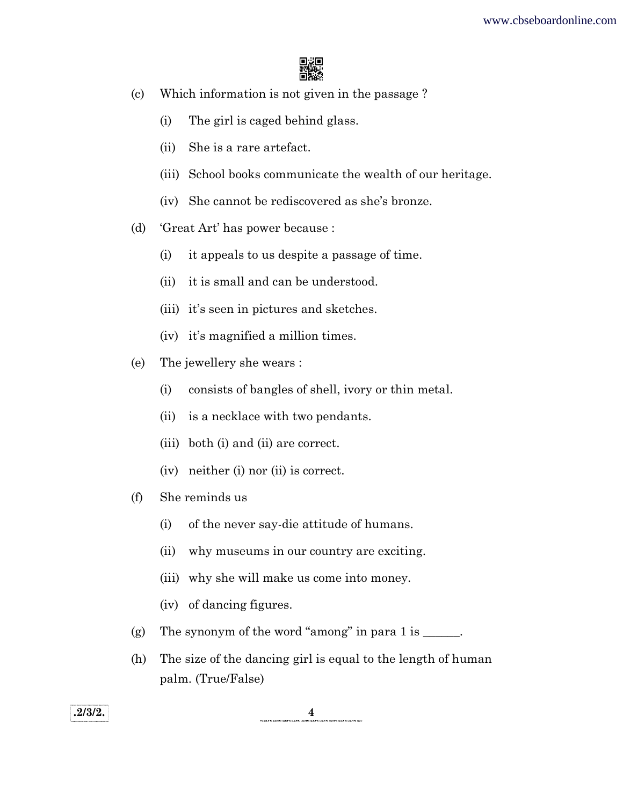

- (c) Which information is not given in the passage ?
	- (i) The girl is caged behind glass.
	- (ii) She is a rare artefact.
	- (iii) School books communicate the wealth of our heritage.
	- (iv) She cannot be rediscovered as she's bronze.
- (d) 'Great Art' has power because :
	- (i) it appeals to us despite a passage of time.
	- (ii) it is small and can be understood.
	- (iii) it's seen in pictures and sketches.
	- (iv) it's magnified a million times.
- (e) The jewellery she wears :
	- (i) consists of bangles of shell, ivory or thin metal.
	- (ii) is a necklace with two pendants.
	- (iii) both (i) and (ii) are correct.
	- (iv) neither (i) nor (ii) is correct.
- (f) She reminds us
	- (i) of the never say-die attitude of humans.
	- (ii) why museums in our country are exciting.
	- (iii) why she will make us come into money.
	- (iv) of dancing figures.
- (g) The synonym of the word "among" in para  $1$  is  $\_\_\_\_\_\_\_\$ .
- (h) The size of the dancing girl is equal to the length of human palm. (True/False)

 $\overline{2/3/2.}$   $\overline{4}$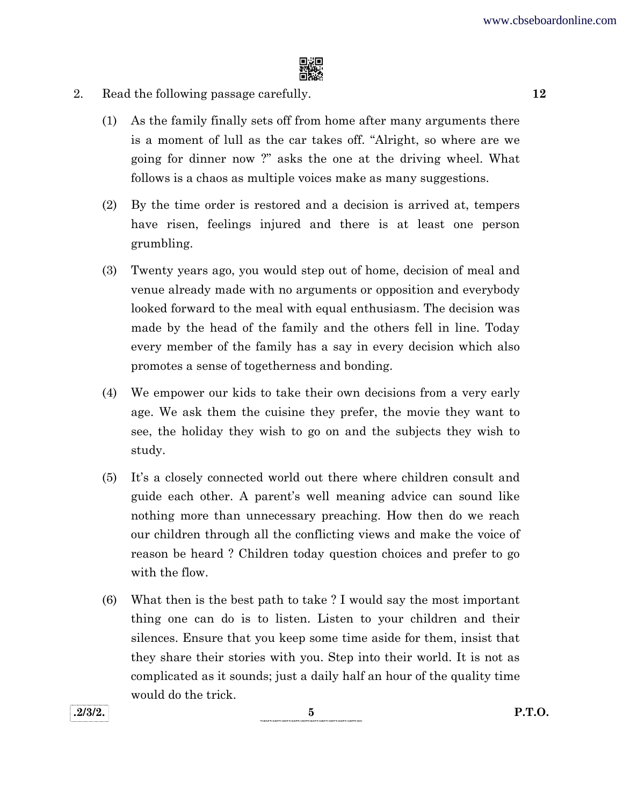

- 2. Read the following passage carefully. 12
	- (1) As the family finally sets off from home after many arguments there is a moment of lull as the car takes off. "Alright, so where are we going for dinner now ?" asks the one at the driving wheel. What follows is a chaos as multiple voices make as many suggestions.
	- (2) By the time order is restored and a decision is arrived at, tempers have risen, feelings injured and there is at least one person grumbling.
	- (3) Twenty years ago, you would step out of home, decision of meal and venue already made with no arguments or opposition and everybody looked forward to the meal with equal enthusiasm. The decision was made by the head of the family and the others fell in line. Today every member of the family has a say in every decision which also promotes a sense of togetherness and bonding.
	- (4) We empower our kids to take their own decisions from a very early age. We ask them the cuisine they prefer, the movie they want to see, the holiday they wish to go on and the subjects they wish to study.
	- (5) It's a closely connected world out there where children consult and guide each other. A parent's well meaning advice can sound like nothing more than unnecessary preaching. How then do we reach our children through all the conflicting views and make the voice of reason be heard ? Children today question choices and prefer to go with the flow.
	- (6) What then is the best path to take ? I would say the most important thing one can do is to listen. Listen to your children and their silences. Ensure that you keep some time aside for them, insist that they share their stories with you. Step into their world. It is not as complicated as it sounds; just a daily half an hour of the quality time would do the trick.

 $.2/3/2.$  P.T.O.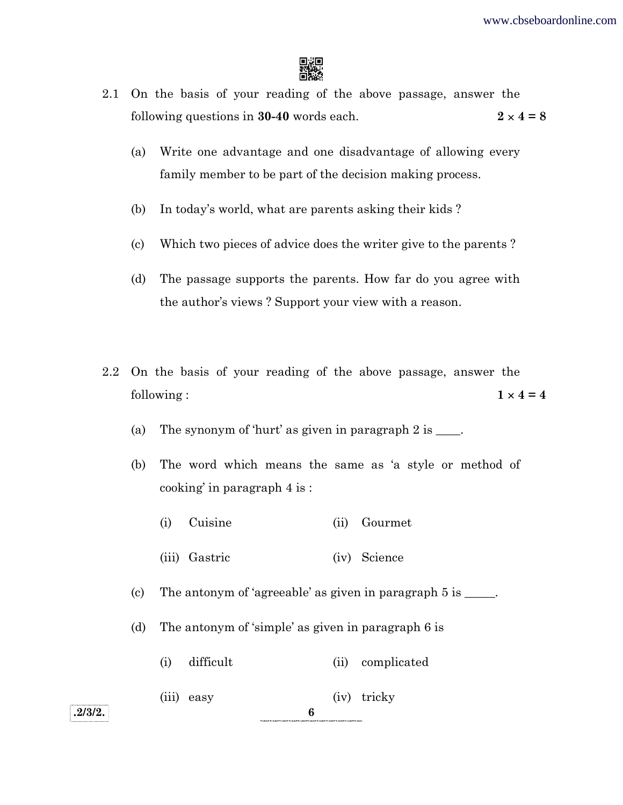

- 2.1 On the basis of your reading of the above passage, answer the following questions in 30-40 words each.  $2 \times 4 = 8$ 
	- (a) Write one advantage and one disadvantage of allowing every family member to be part of the decision making process.
	- (b) In today's world, what are parents asking their kids ?
	- (c) Which two pieces of advice does the writer give to the parents ?
	- (d) The passage supports the parents. How far do you agree with the author's views ? Support your view with a reason.
- 2.2 On the basis of your reading of the above passage, answer the following :  $1 \times 4 = 4$ 
	- (a) The synonym of 'hurt' as given in paragraph  $2$  is  $\qquad$ .
	- (b) The word which means the same as 'a style or method of cooking' in paragraph 4 is :
		- (i) Cuisine (ii) Gourmet
		- (iii) Gastric (iv) Science

(c) The antonym of 'agreeable' as given in paragraph  $5$  is  $\qquad \qquad$ .

- (d) The antonym of 'simple' as given in paragraph 6 is
	- (i) difficult (ii) complicated
	- (iii) easy (iv) tricky

 $.2/3/2.$  6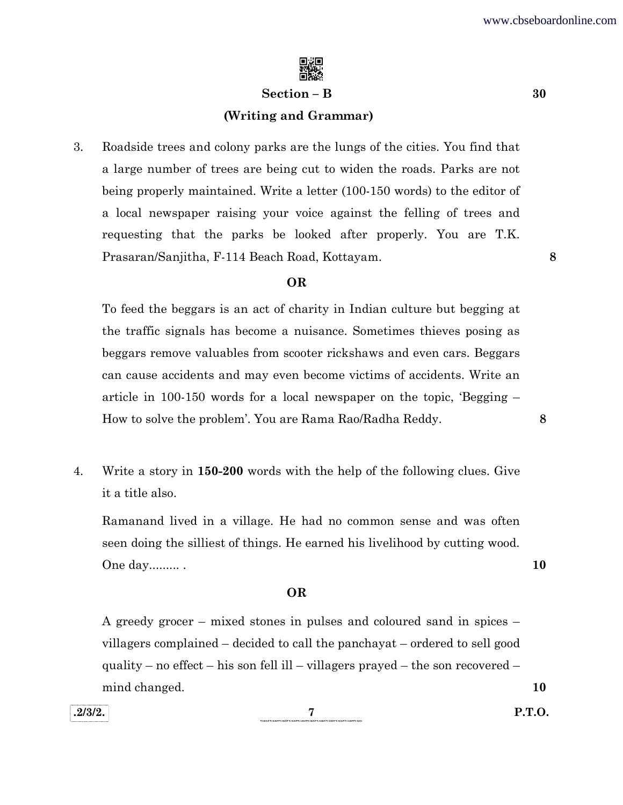

#### $Section - B$  30

#### (Writing and Grammar)

3. Roadside trees and colony parks are the lungs of the cities. You find that a large number of trees are being cut to widen the roads. Parks are not being properly maintained. Write a letter (100-150 words) to the editor of a local newspaper raising your voice against the felling of trees and requesting that the parks be looked after properly. You are T.K. Prasaran/Sanjitha, F-114 Beach Road, Kottayam. 8

#### OR

 To feed the beggars is an act of charity in Indian culture but begging at the traffic signals has become a nuisance. Sometimes thieves posing as beggars remove valuables from scooter rickshaws and even cars. Beggars can cause accidents and may even become victims of accidents. Write an article in 100-150 words for a local newspaper on the topic, 'Begging – How to solve the problem'. You are Rama Rao/Radha Reddy. 8

4. Write a story in 150-200 words with the help of the following clues. Give it a title also.

 Ramanand lived in a village. He had no common sense and was often seen doing the silliest of things. He earned his livelihood by cutting wood. One day......... . 10

#### OR

 A greedy grocer – mixed stones in pulses and coloured sand in spices – villagers complained – decided to call the panchayat – ordered to sell good quality – no effect – his son fell ill – villagers prayed – the son recovered – mind changed. 10

 $.2/3/2.$  P.T.O.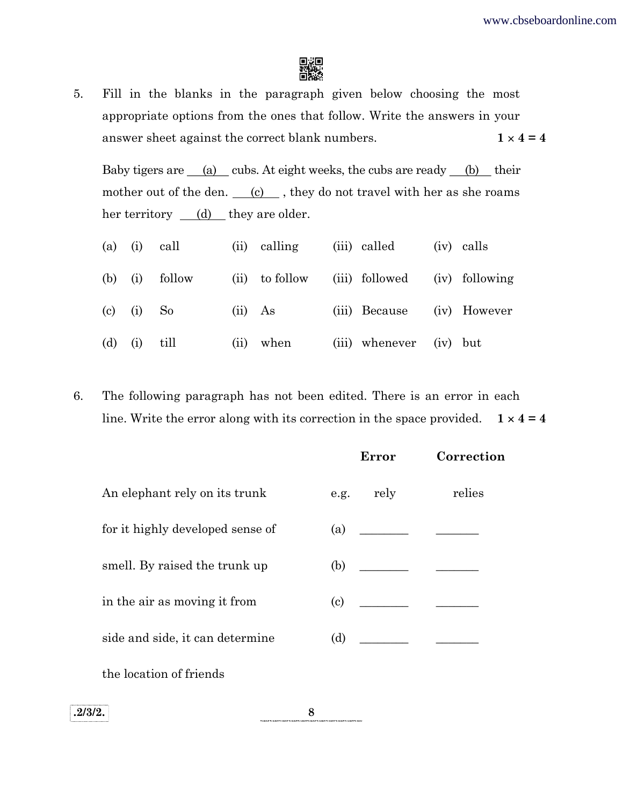

5. Fill in the blanks in the paragraph given below choosing the most appropriate options from the ones that follow. Write the answers in your answer sheet against the correct blank numbers.  $1 \times 4 = 4$ 

Baby tigers are  $(a)$  cubs. At eight weeks, the cubs are ready  $(b)$  their mother out of the den.  $(c)$ , they do not travel with her as she roams her territory  $(d)$  they are older.

|           |            | $(a)$ (i) call |         | (ii) calling   | (iii) called                  | (iv) calls |
|-----------|------------|----------------|---------|----------------|-------------------------------|------------|
| $(b)$ (i) |            | follow         |         | (ii) to follow | (iii) followed (iv) following |            |
|           |            | $(c)$ (i) So   | (ii) As |                | (iii) Because (iv) However    |            |
| (d)       | $(i)$ till |                | (ii)    | when           | (iii) whenever (iv) but       |            |

6. The following paragraph has not been edited. There is an error in each line. Write the error along with its correction in the space provided.  $1 \times 4 = 4$ 

|                                  |      | Error                                                                                                                                                                                                                                                                                                                                                                                                                                                                                                                                                                                                              | Correction |
|----------------------------------|------|--------------------------------------------------------------------------------------------------------------------------------------------------------------------------------------------------------------------------------------------------------------------------------------------------------------------------------------------------------------------------------------------------------------------------------------------------------------------------------------------------------------------------------------------------------------------------------------------------------------------|------------|
| An elephant rely on its trunk    | e.g. | rely                                                                                                                                                                                                                                                                                                                                                                                                                                                                                                                                                                                                               | relies     |
| for it highly developed sense of | (a)  | <u> 1990 - Jan James James Barnett, politik eta politik eta politik eta politik eta politik eta politik eta poli</u>                                                                                                                                                                                                                                                                                                                                                                                                                                                                                               |            |
| smell. By raised the trunk up    |      | $\begin{array}{ccc} \text{(b)} & \underline{\hspace{1cm}} & \underline{\hspace{1cm}} & \underline{\hspace{1cm}} & \underline{\hspace{1cm}} & \underline{\hspace{1cm}} & \underline{\hspace{1cm}} & \underline{\hspace{1cm}} & \underline{\hspace{1cm}} & \underline{\hspace{1cm}} & \underline{\hspace{1cm}} & \underline{\hspace{1cm}} & \underline{\hspace{1cm}} & \underline{\hspace{1cm}} & \underline{\hspace{1cm}} & \underline{\hspace{1cm}} & \underline{\hspace{1cm}} & \underline{\hspace{1cm}} & \underline{\hspace{1cm}} & \underline{\hspace{1cm}} & \underline{\hspace{1cm}} & \underline{\hspace{1$ |            |
| in the air as moving it from     | (c)  | <u> 1989 - Jan Stein Stein Stein Stein Stein Stein Stein Stein Stein Stein Stein Stein Stein Stein Stein Stein S</u>                                                                                                                                                                                                                                                                                                                                                                                                                                                                                               |            |
| side and side, it can determine  |      |                                                                                                                                                                                                                                                                                                                                                                                                                                                                                                                                                                                                                    |            |
| the location of friends          |      |                                                                                                                                                                                                                                                                                                                                                                                                                                                                                                                                                                                                                    |            |

.2/3/2.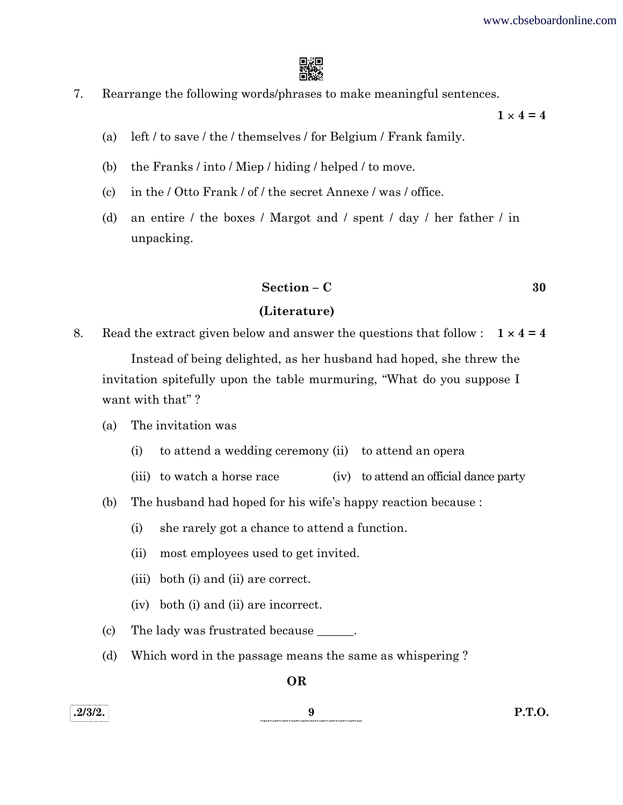

7. Rearrange the following words/phrases to make meaningful sentences.

 $1 \times 4 = 4$ 

- (a) left / to save / the / themselves / for Belgium / Frank family.
- (b) the Franks / into / Miep / hiding / helped / to move.
- (c) in the / Otto Frank / of / the secret Annexe / was / office.
- (d) an entire / the boxes / Margot and / spent / day / her father / in unpacking.

 $Section - C$  30

#### (Literature)

8. Read the extract given below and answer the questions that follow :  $1 \times 4 = 4$ 

 Instead of being delighted, as her husband had hoped, she threw the invitation spitefully upon the table murmuring, "What do you suppose I want with that"?

- (a) The invitation was
	- (i) to attend a wedding ceremony (ii) to attend an opera
	- (iii) to watch a horse race (iv) to attend an official dance party
- (b) The husband had hoped for his wife's happy reaction because :
	- (i) she rarely got a chance to attend a function.
	- (ii) most employees used to get invited.
	- (iii) both (i) and (ii) are correct.
	- (iv) both (i) and (ii) are incorrect.
- (c) The lady was frustrated because \_\_\_\_\_\_.
- (d) Which word in the passage means the same as whispering ?

OR

# .2/3/2. 9 P.T.O.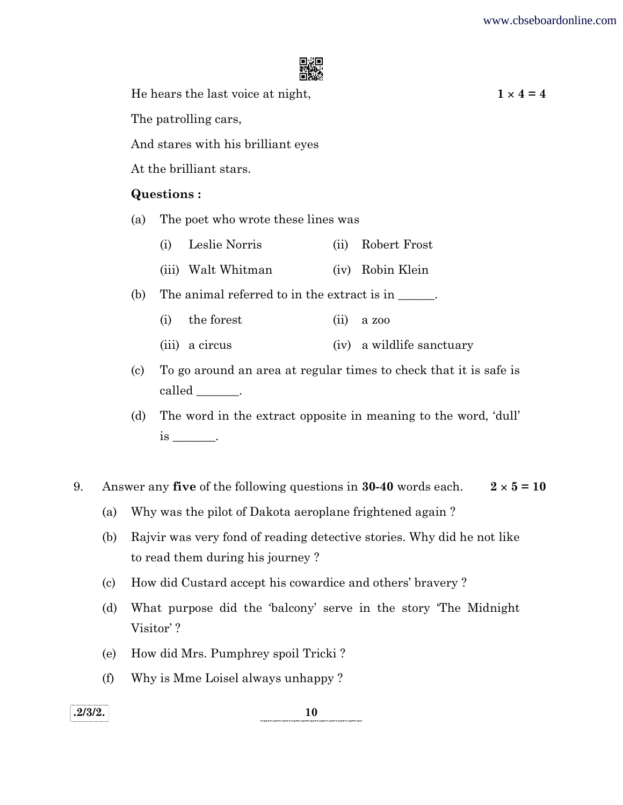

He hears the last voice at night,  $1 \times 4 = 4$ 

The patrolling cars,

And stares with his brilliant eyes

At the brilliant stars.

### Questions :

- (a) The poet who wrote these lines was
	- (i) Leslie Norris (ii) Robert Frost
	- (iii) Walt Whitman (iv) Robin Klein
- (b) The animal referred to in the extract is in \_\_\_\_\_\_.
	- (i) the forest (ii) a zoo
	- (iii) a circus (iv) a wildlife sanctuary
- (c) To go around an area at regular times to check that it is safe is called \_\_\_\_\_\_\_.
- (d) The word in the extract opposite in meaning to the word, 'dull' is \_\_\_\_\_\_\_\_\_\_.
- 9. Answer any five of the following questions in 30-40 words each.  $2 \times 5 = 10$ 
	- (a) Why was the pilot of Dakota aeroplane frightened again ?
	- (b) Rajvir was very fond of reading detective stories. Why did he not like to read them during his journey ?
	- (c) How did Custard accept his cowardice and others' bravery ?
	- (d) What purpose did the 'balcony' serve in the story 'The Midnight Visitor' ?
	- (e) How did Mrs. Pumphrey spoil Tricki ?
	- (f) Why is Mme Loisel always unhappy ?

 $.2/3/2.$  10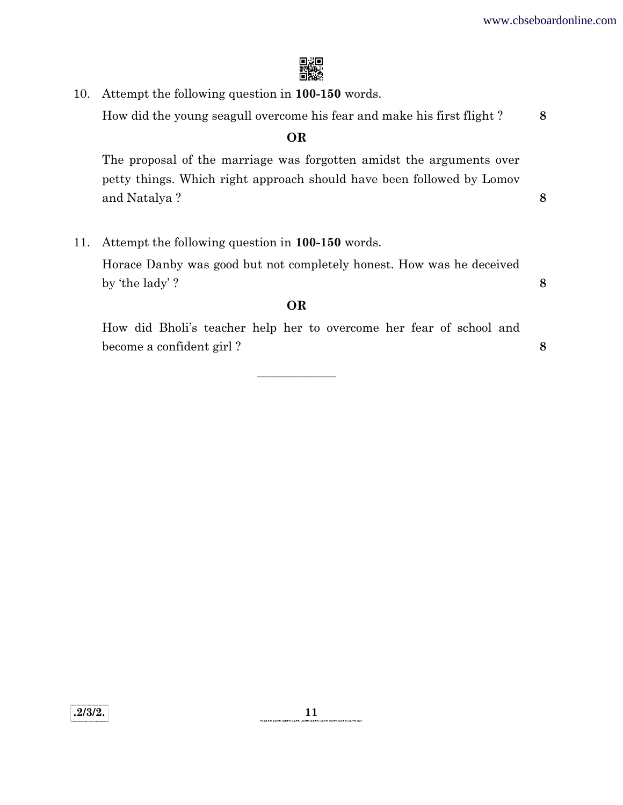

10. Attempt the following question in 100-150 words. How did the young seagull overcome his fear and make his first flight ? 8 OR The proposal of the marriage was forgotten amidst the arguments over petty things. Which right approach should have been followed by Lomov and Natalya ? 8 11. Attempt the following question in 100-150 words. Horace Danby was good but not completely honest. How was he deceived by 'the lady' ?  $\qquad \qquad \textbf{8}$ OR

 How did Bholi's teacher help her to overcome her fear of school and become a confident girl ?

 $\frac{1}{2}$